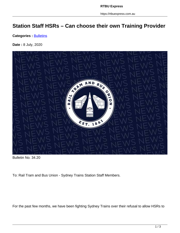https://rtbuexpress.com.au

## **Station Staff HSRs – Can choose their own Training Provider**

**Categories : [Bulletins](https://rtbuexpress.com.au/category/news/bulletins/)** 

**Date :** 8 July, 2020



Bulletin No. 34.20

To: Rail Tram and Bus Union - Sydney Trains Station Staff Members.

For the past few months, we have been fighting Sydney Trains over their refusal to allow HSRs to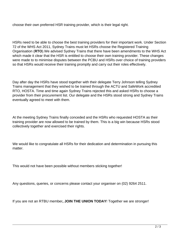choose their own preferred HSR training provider, which is their legal right.

HSRs need to be able to choose the best training providers for their important work. Under Section 72 of the WHS Act 2011, Sydney Trains must let HSRs choose the Registered Training Organisation (**RTO**).We advised Sydney Trains that there have been amendments to the WHS Act which made it clear that the HSR is entitled to choose their own training provider. These changes were made to to minimise disputes between the PCBU and HSRs over choice of training providers so that HSRs would receive their training promptly and carry out their roles effectively.

Day after day the HSRs have stood together with their delegate Terry Johnson telling Sydney Trains management that they wished to be trained through the ACTU and SafeWork accredited RTO, HOSTA. Time and time again Sydney Trains rejected this and asked HSRs to choose a provider from their procurement list. Our delegate and the HSRs stood strong and Sydney Trains eventually agreed to meet with them.

At the meeting Sydney Trains finally conceded and the HSRs who requested HOSTA as their training provider are now allowed to be trained by them. This is a big win because HSRs stood collectively together and exercised their rights.

We would like to congratulate all HSRs for their dedication and determination in pursuing this matter.

This would not have been possible without members sticking together!

Any questions, queries, or concerns please contact your organiser on (02) 9264 2511.

If you are not an RTBU member**, JOIN THE UNION TODAY**! Together we are stronger!